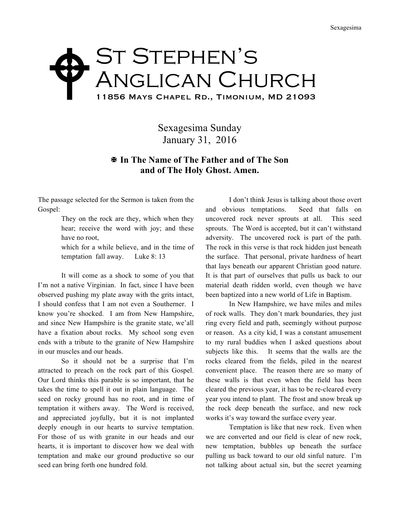## ST STEPHEN'S Anglican Church 11856 Mays Chapel Rd., Timonium, MD 21093  $\blacklozenge$

Sexagesima Sunday January 31, 2016

## X **In The Name of The Father and of The Son and of The Holy Ghost. Amen.**

The passage selected for the Sermon is taken from the Gospel:

> They on the rock are they, which when they hear; receive the word with joy; and these have no root,

> which for a while believe, and in the time of temptation fall away. Luke 8: 13

It will come as a shock to some of you that I'm not a native Virginian. In fact, since I have been observed pushing my plate away with the grits intact, I should confess that I am not even a Southerner. I know you're shocked. I am from New Hampshire, and since New Hampshire is the granite state, we'all have a fixation about rocks. My school song even ends with a tribute to the granite of New Hampshire in our muscles and our heads.

So it should not be a surprise that I'm attracted to preach on the rock part of this Gospel. Our Lord thinks this parable is so important, that he takes the time to spell it out in plain language. The seed on rocky ground has no root, and in time of temptation it withers away. The Word is received, and appreciated joyfully, but it is not implanted deeply enough in our hearts to survive temptation. For those of us with granite in our heads and our hearts, it is important to discover how we deal with temptation and make our ground productive so our seed can bring forth one hundred fold.

I don't think Jesus is talking about those overt and obvious temptations. Seed that falls on uncovered rock never sprouts at all. This seed sprouts. The Word is accepted, but it can't withstand adversity. The uncovered rock is part of the path. The rock in this verse is that rock hidden just beneath the surface. That personal, private hardness of heart that lays beneath our apparent Christian good nature. It is that part of ourselves that pulls us back to our material death ridden world, even though we have been baptized into a new world of Life in Baptism.

In New Hampshire, we have miles and miles of rock walls. They don't mark boundaries, they just ring every field and path, seemingly without purpose or reason. As a city kid, I was a constant amusement to my rural buddies when I asked questions about subjects like this. It seems that the walls are the rocks cleared from the fields, piled in the nearest convenient place. The reason there are so many of these walls is that even when the field has been cleared the previous year, it has to be re-cleared every year you intend to plant. The frost and snow break up the rock deep beneath the surface, and new rock works it's way toward the surface every year.

Temptation is like that new rock. Even when we are converted and our field is clear of new rock, new temptation, bubbles up beneath the surface pulling us back toward to our old sinful nature. I'm not talking about actual sin, but the secret yearning